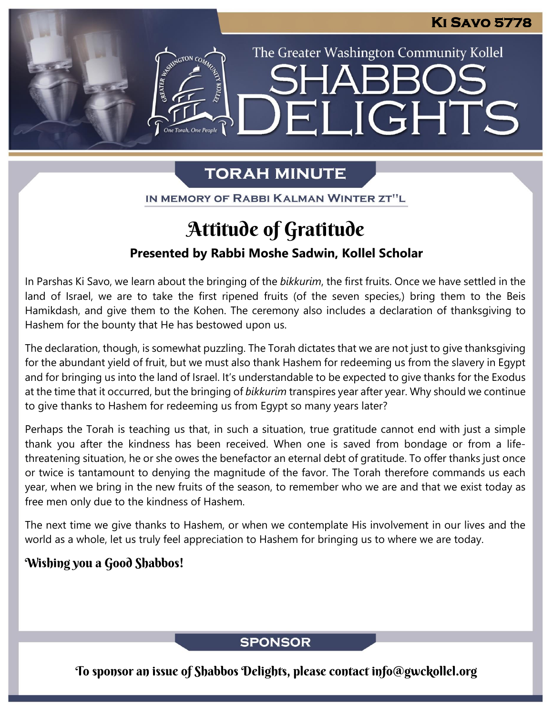The Greater Washington Community Kollel

ELIGHTS

# **TORAH MINUTE**

IN MEMORY OF RABBI KALMAN WINTER ZT"L

# Attitude of Gratitude

## **Presented by Rabbi Moshe Sadwin, Kollel Scholar**

In Parshas Ki Savo, we learn about the bringing of the *bikkurim*, the first fruits. Once we have settled in the land of Israel, we are to take the first ripened fruits (of the seven species,) bring them to the Beis Hamikdash, and give them to the Kohen. The ceremony also includes a declaration of thanksgiving to Hashem for the bounty that He has bestowed upon us.

The declaration, though, is somewhat puzzling. The Torah dictates that we are not just to give thanksgiving for the abundant yield of fruit, but we must also thank Hashem for redeeming us from the slavery in Egypt and for bringing us into the land of Israel. It's understandable to be expected to give thanks for the Exodus at the time that it occurred, but the bringing of *bikkurim* transpires year after year. Why should we continue to give thanks to Hashem for redeeming us from Egypt so many years later?

Perhaps the Torah is teaching us that, in such a situation, true gratitude cannot end with just a simple thank you after the kindness has been received. When one is saved from bondage or from a lifethreatening situation, he or she owes the benefactor an eternal debt of gratitude. To offer thanks just once or twice is tantamount to denying the magnitude of the favor. The Torah therefore commands us each year, when we bring in the new fruits of the season, to remember who we are and that we exist today as free men only due to the kindness of Hashem.

The next time we give thanks to Hashem, or when we contemplate His involvement in our lives and the world as a whole, let us truly feel appreciation to Hashem for bringing us to where we are today.

### Wishing you a Good Shabbos!

### **SPONSOR**

To sponsor an issue of Shabbos Delights, please contact info@gwckollel.org